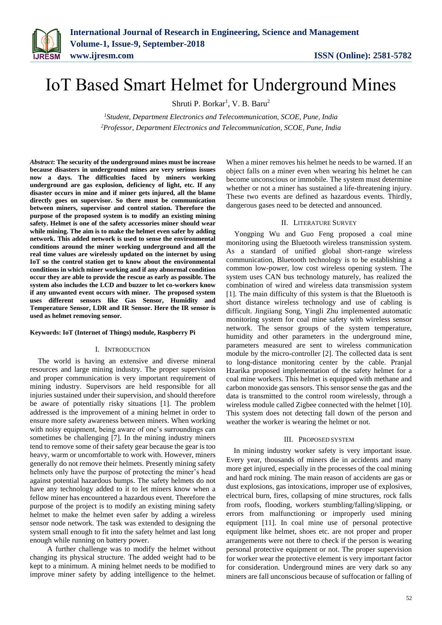

# IoT Based Smart Helmet for Underground Mines

Shruti P. Borkar<sup>1</sup>, V. B. Baru<sup>2</sup>

*<sup>1</sup>Student, Department Electronics and Telecommunication, SCOE, Pune, India <sup>2</sup>Professor, Department Electronics and Telecommunication, SCOE, Pune, India*

*Abstract***: The security of the underground mines must be increase because disasters in underground mines are very serious issues now a days. The difficulties faced by miners working underground are gas explosion, deficiency of light, etc. If any disaster occurs in mine and if miner gets injured, all the blame directly goes on supervisor. So there must be communication between miners, supervisor and control station. Therefore the purpose of the proposed system is to modify an existing mining safety. Helmet is one of the safety accessories miner should wear while mining. The aim is to make the helmet even safer by adding network. This added network is used to sense the environmental conditions around the miner working underground and all the real time values are wirelessly updated on the internet by using IoT so the control station get to know about the environmental conditions in which miner working and if any abnormal condition occur they are able to provide the rescue as early as possible. The system also includes the LCD and buzzer to let co-workers know if any unwanted event occurs with miner. The proposed system uses different sensors like Gas Sensor, Humidity and Temperature Sensor, LDR and IR Sensor. Here the IR sensor is used as helmet removing sensor.** 

#### **Keywords: IoT (Internet of Things) module, Raspberry Pi**

#### I. INTRODUCTION

The world is having an extensive and diverse mineral resources and large mining industry. The proper supervision and proper communication is very important requirement of mining industry. Supervisors are held responsible for all injuries sustained under their supervision, and should therefore be aware of potentially risky situations [1]. The problem addressed is the improvement of a mining helmet in order to ensure more safety awareness between miners. When working with noisy equipment, being aware of one's surroundings can sometimes be challenging [7]. In the mining industry miners tend to remove some of their safety gear because the gear is too heavy, warm or uncomfortable to work with. However, miners generally do not remove their helmets. Presently mining safety helmets only have the purpose of protecting the miner's head against potential hazardous bumps. The safety helmets do not have any technology added to it to let miners know when a fellow miner has encountered a hazardous event. Therefore the purpose of the project is to modify an existing mining safety helmet to make the helmet even safer by adding a wireless sensor node network. The task was extended to designing the system small enough to fit into the safety helmet and last long enough while running on battery power.

 A further challenge was to modify the helmet without changing its physical structure. The added weight had to be kept to a minimum. A mining helmet needs to be modified to improve miner safety by adding intelligence to the helmet.

When a miner removes his helmet he needs to be warned. If an object falls on a miner even when wearing his helmet he can become unconscious or immobile. The system must determine whether or not a miner has sustained a life-threatening injury. These two events are defined as hazardous events. Thirdly, dangerous gases need to be detected and announced.

#### II. LITERATURE SURVEY

Yongping Wu and Guo Feng proposed a coal mine monitoring using the Bluetooth wireless transmission system. As a standard of unified global short-range wireless communication, Bluetooth technology is to be establishing a common low-power, low cost wireless opening system. The system uses CAN bus technology maturely, has realized the combination of wired and wireless data transmission system [1]. The main difficulty of this system is that the Bluetooth is short distance wireless technology and use of cabling is difficult. Jingiiang Song, Yingli Zhu implemented automatic monitoring system for coal mine safety with wireless sensor network. The sensor groups of the system temperature, humidity and other parameters in the underground mine, parameters measured are sent to wireless communication module by the micro-controller [2]. The collected data is sent to long-distance monitoring center by the cable. Pranjal Hzarika proposed implementation of the safety helmet for a coal mine workers. This helmet is equipped with methane and carbon monoxide gas sensors. This sensor sense the gas and the data is transmitted to the control room wirelessly, through a wireless module called Zigbee connected with the helmet [10]. This system does not detecting fall down of the person and weather the worker is wearing the helmet or not.

#### III. PROPOSED SYSTEM

In mining industry worker safety is very important issue. Every year, thousands of miners die in accidents and many more get injured, especially in the processes of the coal mining and hard rock mining. The main reason of accidents are gas or dust explosions, gas intoxications, improper use of explosives, electrical burn, fires, collapsing of mine structures, rock falls from roofs, flooding, workers stumbling/falling/slipping, or errors from malfunctioning or improperly used mining equipment [11]. In coal mine use of personal protective equipment like helmet, shoes etc. are not proper and proper arrangements were not there to check if the person is wearing personal protective equipment or not. The proper supervision for worker wear the protective element is very important factor for consideration. Underground mines are very dark so any miners are fall unconscious because of suffocation or falling of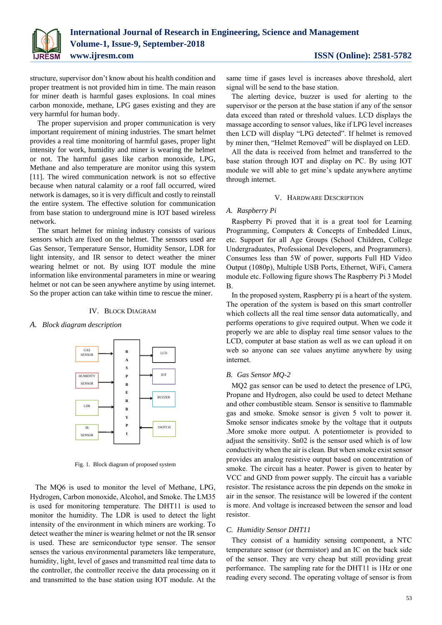

structure, supervisor don't know about his health condition and proper treatment is not provided him in time. The main reason for miner death is harmful gases explosions. In coal mines carbon monoxide, methane, LPG gases existing and they are very harmful for human body.

The proper supervision and proper communication is very important requirement of mining industries. The smart helmet provides a real time monitoring of harmful gases, proper light intensity for work, humidity and miner is wearing the helmet or not. The harmful gases like carbon monoxide, LPG, Methane and also temperature are monitor using this system [11]. The wired communication network is not so effective because when natural calamity or a roof fall occurred, wired network is damages, so it is very difficult and costly to reinstall the entire system. The effective solution for communication from base station to underground mine is IOT based wireless network.

The smart helmet for mining industry consists of various sensors which are fixed on the helmet. The sensors used are Gas Sensor, Temperature Sensor, Humidity Sensor, LDR for light intensity, and IR sensor to detect weather the miner wearing helmet or not. By using IOT module the mine information like environmental parameters in mine or wearing helmet or not can be seen anywhere anytime by using internet. So the proper action can take within time to rescue the miner.

### IV. BLOCK DIAGRAM

### *A. Block diagram description*



Fig. 1. Block diagram of proposed system

The MQ6 is used to monitor the level of Methane, LPG, Hydrogen, Carbon monoxide, Alcohol, and Smoke. The LM35 is used for monitoring temperature. The DHT11 is used to monitor the humidity. The LDR is used to detect the light intensity of the environment in which miners are working. To detect weather the miner is wearing helmet or not the IR sensor is used. These are semiconductor type sensor. The sensor senses the various environmental parameters like temperature, humidity, light, level of gases and transmitted real time data to the controller, the controller receive the data processing on it and transmitted to the base station using IOT module. At the same time if gases level is increases above threshold, alert signal will be send to the base station.

The alerting device, buzzer is used for alerting to the supervisor or the person at the base station if any of the sensor data exceed than rated or threshold values. LCD displays the massage according to sensor values, like if LPG level increases then LCD will display "LPG detected". If helmet is removed by miner then, "Helmet Removed" will be displayed on LED.

All the data is received from helmet and transferred to the base station through IOT and display on PC. By using IOT module we will able to get mine's update anywhere anytime through internet.

### V. HARDWARE DESCRIPTION

# *A. Raspberry Pi*

Raspberry Pi proved that it is a great tool for Learning Programming, Computers & Concepts of Embedded Linux, etc. Support for all Age Groups (School Children, College Undergraduates, Professional Developers, and Programmers). Consumes less than 5W of power, supports Full HD Video Output (1080p), Multiple USB Ports, Ethernet, WiFi, Camera module etc. Following figure shows The Raspberry Pi 3 Model B.

In the proposed system, Raspberry pi is a heart of the system. The operation of the system is based on this smart controller which collects all the real time sensor data automatically, and performs operations to give required output. When we code it properly we are able to display real time sensor values to the LCD, computer at base station as well as we can upload it on web so anyone can see values anytime anywhere by using internet.

### *B. Gas Sensor MQ-2*

MQ2 gas sensor can be used to detect the presence of LPG, Propane and Hydrogen, also could be used to detect Methane and other combustible steam. Sensor is sensitive to flammable gas and smoke. Smoke sensor is given 5 volt to power it. Smoke sensor indicates smoke by the voltage that it outputs .More smoke more output. A potentiometer is provided to adjust the sensitivity. Sn02 is the sensor used which is of low conductivity when the air is clean. But when smoke exist sensor provides an analog resistive output based on concentration of smoke. The circuit has a heater. Power is given to heater by VCC and GND from power supply. The circuit has a variable resistor. The resistance across the pin depends on the smoke in air in the sensor. The resistance will be lowered if the content is more. And voltage is increased between the sensor and load resistor.

## *C. Humidity Sensor DHT11*

They consist of a humidity sensing component, a NTC temperature sensor (or thermistor) and an IC on the back side of the sensor. They are very cheap but still providing great performance. The sampling rate for the DHT11 is 1Hz or one reading every second. The operating voltage of sensor is from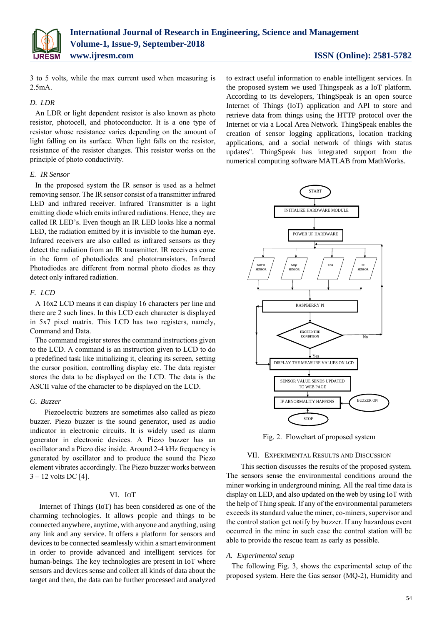

3 to 5 volts, while the max current used when measuring is 2.5mA.

# *D. LDR*

An LDR or light dependent resistor is also known as photo resistor, photocell, and photoconductor. It is a one type of resistor whose resistance varies depending on the amount of light falling on its surface. When light falls on the resistor, resistance of the resistor changes. This resistor works on the principle of photo conductivity.

# *E. IR Sensor*

In the proposed system the IR sensor is used as a helmet removing sensor. The IR sensor consist of a transmitter infrared LED and infrared receiver. Infrared Transmitter is a light emitting diode which emits infrared radiations. Hence, they are called IR LED's. Even though an IR LED looks like a normal LED, the radiation emitted by it is invisible to the human eye. Infrared receivers are also called as infrared sensors as they detect the radiation from an IR transmitter. IR receivers come in the form of photodiodes and phototransistors. Infrared Photodiodes are different from normal photo diodes as they detect only infrared radiation.

# *F. LCD*

A 16x2 LCD means it can display 16 characters per line and there are 2 such lines. In this LCD each character is displayed in 5x7 pixel matrix. This LCD has two registers, namely, Command and Data.

The command register stores the command instructions given to the LCD. A command is an instruction given to LCD to do a predefined task like initializing it, clearing its screen, setting the cursor position, controlling display etc. The data register stores the data to be displayed on the LCD. The data is the ASCII value of the character to be displayed on the LCD.

# *G. Buzzer*

 Piezoelectric buzzers are sometimes also called as piezo buzzer. Piezo buzzer is the sound generator, used as audio indicator in electronic circuits. It is widely used as alarm generator in electronic devices. A Piezo buzzer has an oscillator and a Piezo disc inside. Around 2-4 kHz frequency is generated by oscillator and to produce the sound the Piezo element vibrates accordingly. The Piezo buzzer works between  $3 - 12$  volts DC [4].

# VI. IOT

 Internet of Things (IoT) has been considered as one of the charming technologies. It allows people and things to be connected anywhere, anytime, with anyone and anything, using any link and any service. It offers a platform for sensors and devices to be connected seamlessly within a smart environment in order to provide advanced and intelligent services for human-beings. The key technologies are present in IoT where sensors and devices sense and collect all kinds of data about the target and then, the data can be further processed and analyzed to extract useful information to enable intelligent services. In the proposed system we used Thingspeak as a IoT platform. According to its developers, ThingSpeak is an open source Internet of Things (IoT) application and API to store and retrieve data from things using the HTTP protocol over the Internet or via a Local Area Network. ThingSpeak enables the creation of sensor logging applications, location tracking applications, and a social network of things with status updates". ThingSpeak has integrated support from the numerical computing software MATLAB from MathWorks.



Fig. 2. Flowchart of proposed system

#### VII. EXPERIMENTAL RESULTS AND DISCUSSION

 This section discusses the results of the proposed system. The sensors sense the environmental conditions around the miner working in underground mining. All the real time data is display on LED, and also updated on the web by using IoT with the help of Thing speak. If any of the environmental parameters exceeds its standard value the miner, co-miners, supervisor and the control station get notify by buzzer. If any hazardous event occurred in the mine in such case the control station will be able to provide the rescue team as early as possible.

### *A. Experimental setup*

The following Fig. 3, shows the experimental setup of the proposed system. Here the Gas sensor (MQ-2), Humidity and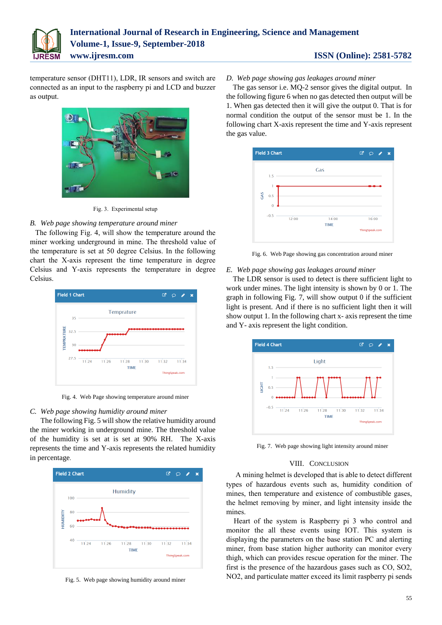

temperature sensor (DHT11), LDR, IR sensors and switch are connected as an input to the raspberry pi and LCD and buzzer as output.



Fig. 3. Experimental setup

# *B. Web page showing temperature around miner*

The following Fig. 4, will show the temperature around the miner working underground in mine. The threshold value of the temperature is set at 50 degree Celsius. In the following chart the X-axis represent the time temperature in degree Celsius and Y-axis represents the temperature in degree Celsius.



Fig. 4. Web Page showing temperature around miner

# *C. Web page showing humidity around miner*

The following Fig. 5 will show the relative humidity around the miner working in underground mine. The threshold value of the humidity is set at is set at 90% RH. The X-axis represents the time and Y-axis represents the related humidity in percentage.



Fig. 5. Web page showing humidity around miner

# *D. Web page showing gas leakages around miner*

The gas sensor i.e. MQ-2 sensor gives the digital output. In the following figure 6 when no gas detected then output will be 1. When gas detected then it will give the output 0. That is for normal condition the output of the sensor must be 1. In the following chart X-axis represent the time and Y-axis represent the gas value.



Fig. 6. Web Page showing gas concentration around miner

# *E. Web page showing gas leakages around miner*

The LDR sensor is used to detect is there sufficient light to work under mines. The light intensity is shown by 0 or 1. The graph in following Fig. 7, will show output 0 if the sufficient light is present. And if there is no sufficient light then it will show output 1. In the following chart x- axis represent the time and Y- axis represent the light condition.



Fig. 7. Web page showing light intensity around miner

# VIII. CONCLUSION

 A mining helmet is developed that is able to detect different types of hazardous events such as, humidity condition of mines, then temperature and existence of combustible gases, the helmet removing by miner, and light intensity inside the mines.

 Heart of the system is Raspberry pi 3 who control and monitor the all these events using IOT. This system is displaying the parameters on the base station PC and alerting miner, from base station higher authority can monitor every thigh, which can provides rescue operation for the miner. The first is the presence of the hazardous gases such as CO, SO2, NO2, and particulate matter exceed its limit raspberry pi sends